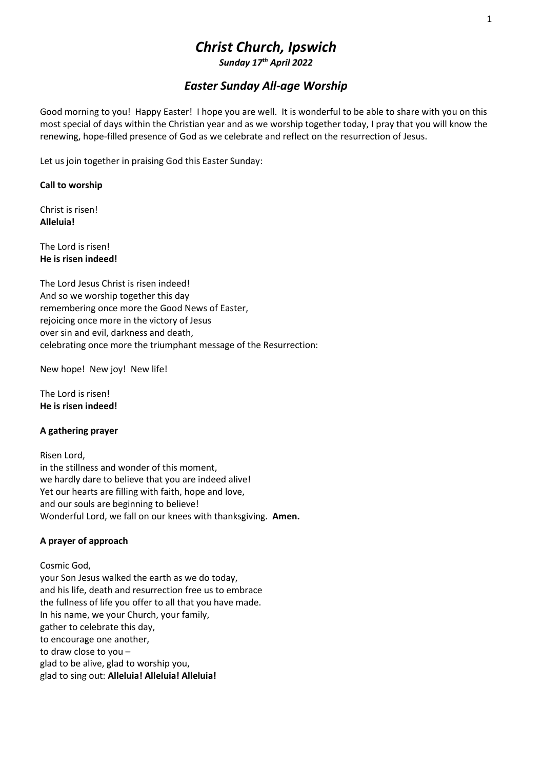# Christ Church, Ipswich

Sunday 17<sup>th</sup> April 2022

## Easter Sunday All-age Worship

Good morning to you! Happy Easter! I hope you are well. It is wonderful to be able to share with you on this most special of days within the Christian year and as we worship together today, I pray that you will know the renewing, hope-filled presence of God as we celebrate and reflect on the resurrection of Jesus.

Let us join together in praising God this Easter Sunday:

## Call to worship

Christ is risen! Alleluia!

The Lord is risen! He is risen indeed!

The Lord Jesus Christ is risen indeed! And so we worship together this day remembering once more the Good News of Easter, rejoicing once more in the victory of Jesus over sin and evil, darkness and death, celebrating once more the triumphant message of the Resurrection:

New hope! New joy! New life!

The Lord is risen! He is risen indeed!

## A gathering prayer

Risen Lord, in the stillness and wonder of this moment, we hardly dare to believe that you are indeed alive! Yet our hearts are filling with faith, hope and love, and our souls are beginning to believe! Wonderful Lord, we fall on our knees with thanksgiving. Amen.

## A prayer of approach

Cosmic God, your Son Jesus walked the earth as we do today, and his life, death and resurrection free us to embrace the fullness of life you offer to all that you have made. In his name, we your Church, your family, gather to celebrate this day, to encourage one another, to draw close to you – glad to be alive, glad to worship you, glad to sing out: Alleluia! Alleluia! Alleluia!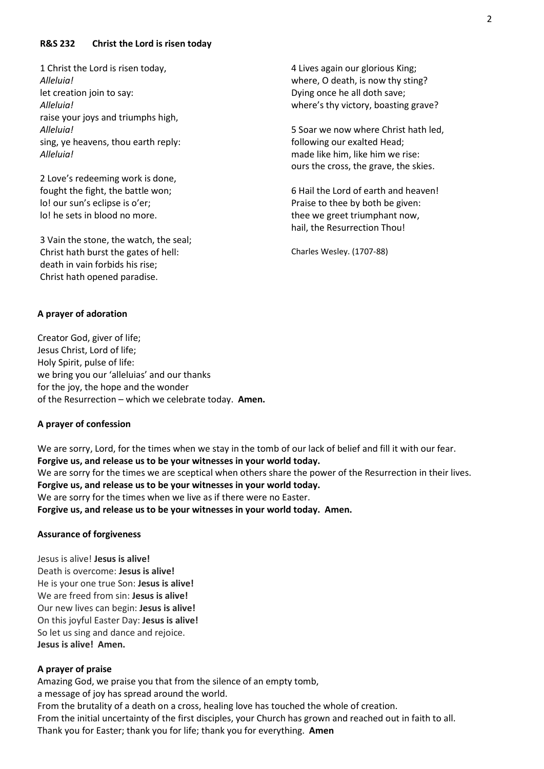#### R&S 232 Christ the Lord is risen today

1 Christ the Lord is risen today, Alleluia! let creation join to say: Alleluia! raise your joys and triumphs high, Alleluia! sing, ye heavens, thou earth reply: Alleluia!

2 Love's redeeming work is done, fought the fight, the battle won; lo! our sun's eclipse is o'er; lo! he sets in blood no more.

3 Vain the stone, the watch, the seal; Christ hath burst the gates of hell: death in vain forbids his rise; Christ hath opened paradise.

4 Lives again our glorious King; where, O death, is now thy sting? Dying once he all doth save; where's thy victory, boasting grave?

5 Soar we now where Christ hath led, following our exalted Head; made like him, like him we rise: ours the cross, the grave, the skies.

6 Hail the Lord of earth and heaven! Praise to thee by both be given: thee we greet triumphant now, hail, the Resurrection Thou!

Charles Wesley. (1707-88)

## A prayer of adoration

Creator God, giver of life; Jesus Christ, Lord of life; Holy Spirit, pulse of life: we bring you our 'alleluias' and our thanks for the joy, the hope and the wonder of the Resurrection – which we celebrate today. Amen.

#### A prayer of confession

We are sorry, Lord, for the times when we stay in the tomb of our lack of belief and fill it with our fear. Forgive us, and release us to be your witnesses in your world today. We are sorry for the times we are sceptical when others share the power of the Resurrection in their lives. Forgive us, and release us to be your witnesses in your world today. We are sorry for the times when we live as if there were no Easter. Forgive us, and release us to be your witnesses in your world today. Amen.

#### Assurance of forgiveness

Jesus is alive! Jesus is alive! Death is overcome: Jesus is alive! He is your one true Son: Jesus is alive! We are freed from sin: Jesus is alive! Our new lives can begin: Jesus is alive! On this joyful Easter Day: Jesus is alive! So let us sing and dance and rejoice. Jesus is alive! Amen.

#### A prayer of praise

Amazing God, we praise you that from the silence of an empty tomb, a message of joy has spread around the world. From the brutality of a death on a cross, healing love has touched the whole of creation. From the initial uncertainty of the first disciples, your Church has grown and reached out in faith to all. Thank you for Easter; thank you for life; thank you for everything. Amen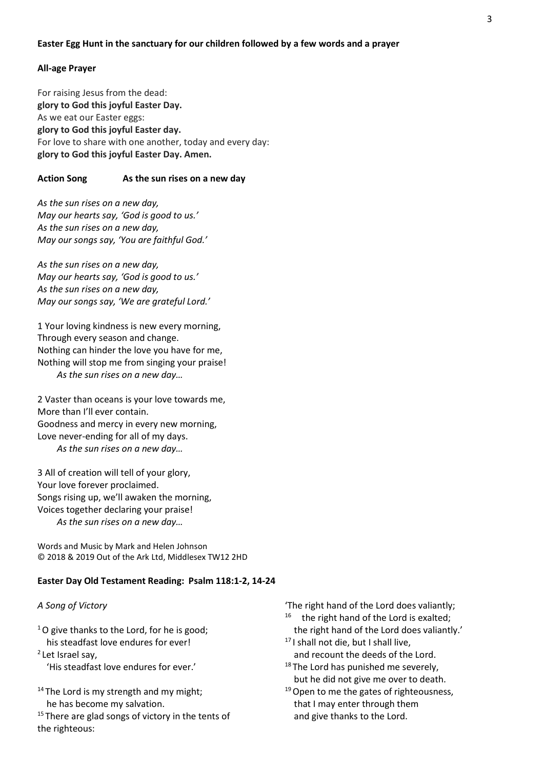#### All-age Prayer

For raising Jesus from the dead: glory to God this joyful Easter Day. As we eat our Easter eggs: glory to God this joyful Easter day. For love to share with one another, today and every day: glory to God this joyful Easter Day. Amen.

#### Action Song As the sun rises on a new day

As the sun rises on a new day, May our hearts say, 'God is good to us.' As the sun rises on a new day, May our songs say, 'You are faithful God.'

As the sun rises on a new day, May our hearts say, 'God is good to us.' As the sun rises on a new day, May our songs say, 'We are grateful Lord.'

1 Your loving kindness is new every morning, Through every season and change. Nothing can hinder the love you have for me, Nothing will stop me from singing your praise! As the sun rises on a new day…

2 Vaster than oceans is your love towards me, More than I'll ever contain. Goodness and mercy in every new morning, Love never-ending for all of my days. As the sun rises on a new day…

3 All of creation will tell of your glory, Your love forever proclaimed. Songs rising up, we'll awaken the morning, Voices together declaring your praise! As the sun rises on a new day…

Words and Music by Mark and Helen Johnson © 2018 & 2019 Out of the Ark Ltd, Middlesex TW12 2HD

#### Easter Day Old Testament Reading: Psalm 118:1-2, 14-24

#### A Song of Victory

- $1$ O give thanks to the Lord, for he is good; his steadfast love endures for ever!
- <sup>2</sup> Let Israel say,
	- 'His steadfast love endures for ever.'
- <sup>14</sup> The Lord is my strength and my might; he has become my salvation.
- $15$ There are glad songs of victory in the tents of the righteous:

'The right hand of the Lord does valiantly;

- $16$  the right hand of the Lord is exalted; the right hand of the Lord does valiantly.'
- <sup>17</sup>I shall not die, but I shall live, and recount the deeds of the Lord.
- <sup>18</sup>The Lord has punished me severely, but he did not give me over to death.
- <sup>19</sup> Open to me the gates of righteousness, that I may enter through them and give thanks to the Lord.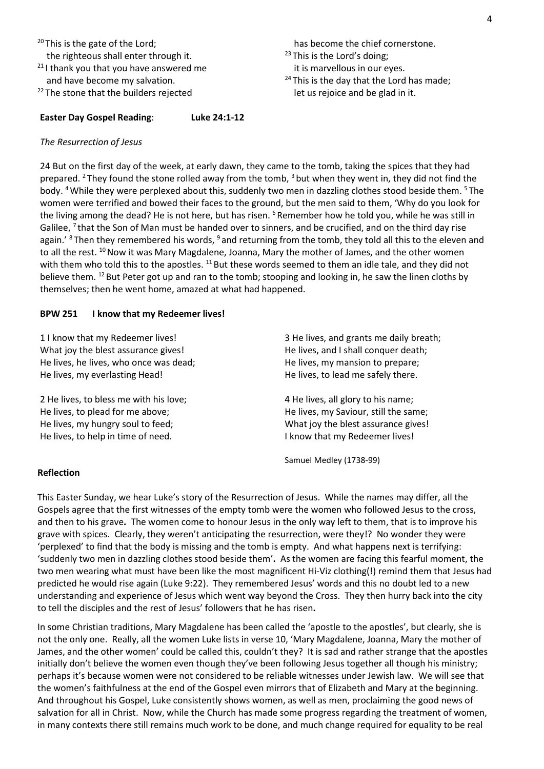<sup>20</sup>This is the gate of the Lord; the righteous shall enter through it.  $21$ I thank you that you have answered me and have become my salvation.

<sup>22</sup>The stone that the builders rejected

Easter Day Gospel Reading: Luke 24:1-12

## The Resurrection of Jesus

24 But on the first day of the week, at early dawn, they came to the tomb, taking the spices that they had prepared. <sup>2</sup>They found the stone rolled away from the tomb, <sup>3</sup> but when they went in, they did not find the body. <sup>4</sup> While they were perplexed about this, suddenly two men in dazzling clothes stood beside them. <sup>5</sup> The women were terrified and bowed their faces to the ground, but the men said to them, 'Why do you look for the living among the dead? He is not here, but has risen. <sup>6</sup>Remember how he told you, while he was still in Galilee, <sup>7</sup> that the Son of Man must be handed over to sinners, and be crucified, and on the third day rise again.' <sup>8</sup>Then they remembered his words, <sup>9</sup> and returning from the tomb, they told all this to the eleven and to all the rest. <sup>10</sup> Now it was Mary Magdalene, Joanna, Mary the mother of James, and the other women with them who told this to the apostles. <sup>11</sup> But these words seemed to them an idle tale, and they did not believe them. <sup>12</sup> But Peter got up and ran to the tomb; stooping and looking in, he saw the linen cloths by themselves; then he went home, amazed at what had happened.

## BPW 251 I know that my Redeemer lives!

| 1 I know that my Redeemer lives!       | 3 He lives, and grants me daily breath; |
|----------------------------------------|-----------------------------------------|
| What joy the blest assurance gives!    | He lives, and I shall conquer death;    |
| He lives, he lives, who once was dead; | He lives, my mansion to prepare;        |
| He lives, my everlasting Head!         | He lives, to lead me safely there.      |
| 2 He lives, to bless me with his love; | 4 He lives, all glory to his name;      |
| He lives, to plead for me above;       | He lives, my Saviour, still the same;   |
| He lives, my hungry soul to feed;      | What joy the blest assurance gives!     |
| He lives, to help in time of need.     | I know that my Redeemer lives!          |

Samuel Medley (1738-99)

## Reflection

This Easter Sunday, we hear Luke's story of the Resurrection of Jesus. While the names may differ, all the Gospels agree that the first witnesses of the empty tomb were the women who followed Jesus to the cross, and then to his grave. The women come to honour Jesus in the only way left to them, that is to improve his grave with spices. Clearly, they weren't anticipating the resurrection, were they!? No wonder they were 'perplexed' to find that the body is missing and the tomb is empty. And what happens next is terrifying: 'suddenly two men in dazzling clothes stood beside them'. As the women are facing this fearful moment, the two men wearing what must have been like the most magnificent Hi-Viz clothing(!) remind them that Jesus had predicted he would rise again (Luke 9:22). They remembered Jesus' words and this no doubt led to a new understanding and experience of Jesus which went way beyond the Cross. They then hurry back into the city to tell the disciples and the rest of Jesus' followers that he has risen.

In some Christian traditions, Mary Magdalene has been called the 'apostle to the apostles', but clearly, she is not the only one. Really, all the women Luke lists in verse 10, 'Mary Magdalene, Joanna, Mary the mother of James, and the other women' could be called this, couldn't they? It is sad and rather strange that the apostles initially don't believe the women even though they've been following Jesus together all though his ministry; perhaps it's because women were not considered to be reliable witnesses under Jewish law. We will see that the women's faithfulness at the end of the Gospel even mirrors that of Elizabeth and Mary at the beginning. And throughout his Gospel, Luke consistently shows women, as well as men, proclaiming the good news of salvation for all in Christ. Now, while the Church has made some progress regarding the treatment of women, in many contexts there still remains much work to be done, and much change required for equality to be real

 has become the chief cornerstone. <sup>23</sup> This is the Lord's doing; it is marvellous in our eyes.  $24$ This is the day that the Lord has made; let us rejoice and be glad in it.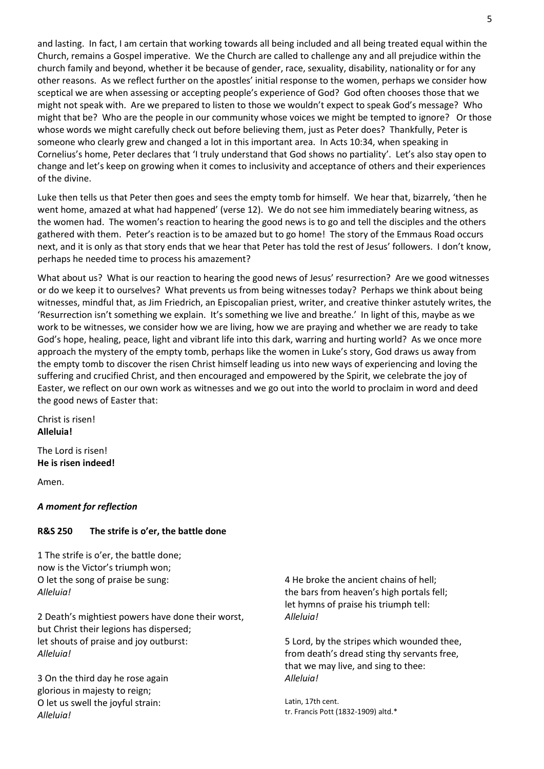and lasting. In fact, I am certain that working towards all being included and all being treated equal within the Church, remains a Gospel imperative. We the Church are called to challenge any and all prejudice within the church family and beyond, whether it be because of gender, race, sexuality, disability, nationality or for any other reasons. As we reflect further on the apostles' initial response to the women, perhaps we consider how sceptical we are when assessing or accepting people's experience of God? God often chooses those that we might not speak with. Are we prepared to listen to those we wouldn't expect to speak God's message? Who might that be? Who are the people in our community whose voices we might be tempted to ignore? Or those whose words we might carefully check out before believing them, just as Peter does? Thankfully, Peter is someone who clearly grew and changed a lot in this important area. In Acts 10:34, when speaking in Cornelius's home, Peter declares that 'I truly understand that God shows no partiality'. Let's also stay open to change and let's keep on growing when it comes to inclusivity and acceptance of others and their experiences of the divine.

Luke then tells us that Peter then goes and sees the empty tomb for himself. We hear that, bizarrely, 'then he went home, amazed at what had happened' (verse 12). We do not see him immediately bearing witness, as the women had. The women's reaction to hearing the good news is to go and tell the disciples and the others gathered with them. Peter's reaction is to be amazed but to go home! The story of the Emmaus Road occurs next, and it is only as that story ends that we hear that Peter has told the rest of Jesus' followers. I don't know, perhaps he needed time to process his amazement?

What about us? What is our reaction to hearing the good news of Jesus' resurrection? Are we good witnesses or do we keep it to ourselves? What prevents us from being witnesses today? Perhaps we think about being witnesses, mindful that, as Jim Friedrich, an Episcopalian priest, writer, and creative thinker astutely writes, the 'Resurrection isn't something we explain. It's something we live and breathe.' In light of this, maybe as we work to be witnesses, we consider how we are living, how we are praying and whether we are ready to take God's hope, healing, peace, light and vibrant life into this dark, warring and hurting world? As we once more approach the mystery of the empty tomb, perhaps like the women in Luke's story, God draws us away from the empty tomb to discover the risen Christ himself leading us into new ways of experiencing and loving the suffering and crucified Christ, and then encouraged and empowered by the Spirit, we celebrate the joy of Easter, we reflect on our own work as witnesses and we go out into the world to proclaim in word and deed the good news of Easter that:

Christ is risen! Alleluia!

The Lord is risen! He is risen indeed!

Amen.

## A moment for reflection

## R&S 250 The strife is o'er, the battle done

1 The strife is o'er, the battle done; now is the Victor's triumph won; O let the song of praise be sung: Alleluia!

2 Death's mightiest powers have done their worst, but Christ their legions has dispersed; let shouts of praise and joy outburst: Alleluia!

3 On the third day he rose again glorious in majesty to reign; O let us swell the joyful strain: Alleluia!

4 He broke the ancient chains of hell; the bars from heaven's high portals fell; let hymns of praise his triumph tell: Alleluia!

5 Lord, by the stripes which wounded thee, from death's dread sting thy servants free, that we may live, and sing to thee: Alleluia!

Latin, 17th cent. tr. Francis Pott (1832-1909) altd.\*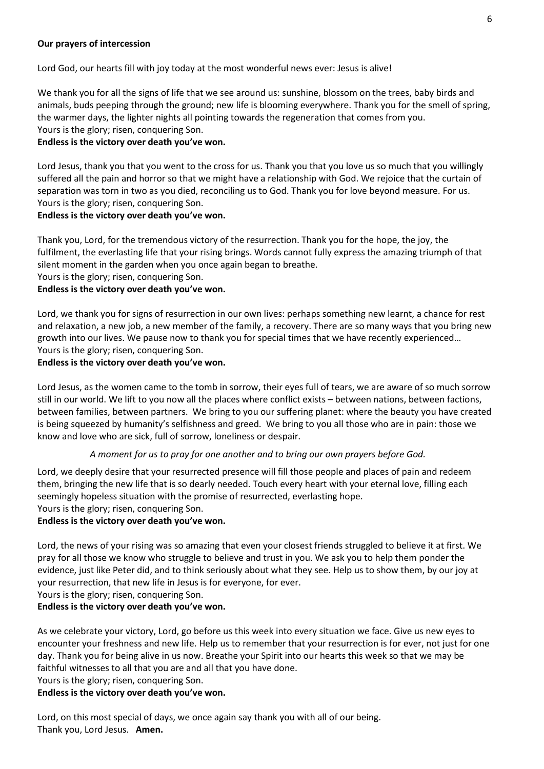## Our prayers of intercession

Lord God, our hearts fill with joy today at the most wonderful news ever: Jesus is alive!

We thank you for all the signs of life that we see around us: sunshine, blossom on the trees, baby birds and animals, buds peeping through the ground; new life is blooming everywhere. Thank you for the smell of spring, the warmer days, the lighter nights all pointing towards the regeneration that comes from you. Yours is the glory; risen, conquering Son.

## Endless is the victory over death you've won.

Lord Jesus, thank you that you went to the cross for us. Thank you that you love us so much that you willingly suffered all the pain and horror so that we might have a relationship with God. We rejoice that the curtain of separation was torn in two as you died, reconciling us to God. Thank you for love beyond measure. For us. Yours is the glory; risen, conquering Son.

## Endless is the victory over death you've won.

Thank you, Lord, for the tremendous victory of the resurrection. Thank you for the hope, the joy, the fulfilment, the everlasting life that your rising brings. Words cannot fully express the amazing triumph of that silent moment in the garden when you once again began to breathe.

Yours is the glory; risen, conquering Son.

## Endless is the victory over death you've won.

Lord, we thank you for signs of resurrection in our own lives: perhaps something new learnt, a chance for rest and relaxation, a new job, a new member of the family, a recovery. There are so many ways that you bring new growth into our lives. We pause now to thank you for special times that we have recently experienced… Yours is the glory; risen, conquering Son.

#### Endless is the victory over death you've won.

Lord Jesus, as the women came to the tomb in sorrow, their eyes full of tears, we are aware of so much sorrow still in our world. We lift to you now all the places where conflict exists – between nations, between factions, between families, between partners. We bring to you our suffering planet: where the beauty you have created is being squeezed by humanity's selfishness and greed. We bring to you all those who are in pain: those we know and love who are sick, full of sorrow, loneliness or despair.

## A moment for us to pray for one another and to bring our own prayers before God.

Lord, we deeply desire that your resurrected presence will fill those people and places of pain and redeem them, bringing the new life that is so dearly needed. Touch every heart with your eternal love, filling each seemingly hopeless situation with the promise of resurrected, everlasting hope.

## Yours is the glory; risen, conquering Son.

## Endless is the victory over death you've won.

Lord, the news of your rising was so amazing that even your closest friends struggled to believe it at first. We pray for all those we know who struggle to believe and trust in you. We ask you to help them ponder the evidence, just like Peter did, and to think seriously about what they see. Help us to show them, by our joy at your resurrection, that new life in Jesus is for everyone, for ever.

Yours is the glory; risen, conquering Son.

## Endless is the victory over death you've won.

As we celebrate your victory, Lord, go before us this week into every situation we face. Give us new eyes to encounter your freshness and new life. Help us to remember that your resurrection is for ever, not just for one day. Thank you for being alive in us now. Breathe your Spirit into our hearts this week so that we may be faithful witnesses to all that you are and all that you have done.

Yours is the glory; risen, conquering Son.

#### Endless is the victory over death you've won.

Lord, on this most special of days, we once again say thank you with all of our being. Thank you, Lord Jesus. Amen.